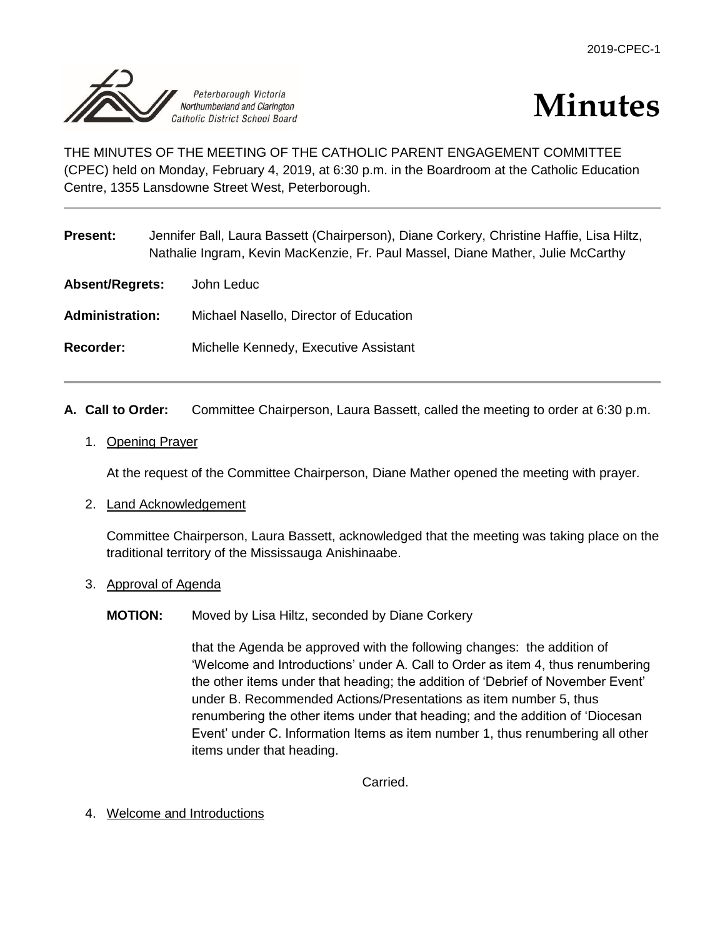

# **Minutes**

THE MINUTES OF THE MEETING OF THE CATHOLIC PARENT ENGAGEMENT COMMITTEE (CPEC) held on Monday, February 4, 2019, at 6:30 p.m. in the Boardroom at the Catholic Education Centre, 1355 Lansdowne Street West, Peterborough.

| <b>Present:</b>        | Jennifer Ball, Laura Bassett (Chairperson), Diane Corkery, Christine Haffie, Lisa Hiltz,<br>Nathalie Ingram, Kevin MacKenzie, Fr. Paul Massel, Diane Mather, Julie McCarthy |  |
|------------------------|-----------------------------------------------------------------------------------------------------------------------------------------------------------------------------|--|
| <b>Absent/Regrets:</b> | John Leduc                                                                                                                                                                  |  |
| <b>Administration:</b> | Michael Nasello, Director of Education                                                                                                                                      |  |
| Recorder:              | Michelle Kennedy, Executive Assistant                                                                                                                                       |  |
|                        |                                                                                                                                                                             |  |

- **A. Call to Order:** Committee Chairperson, Laura Bassett, called the meeting to order at 6:30 p.m.
	- 1. Opening Prayer

At the request of the Committee Chairperson, Diane Mather opened the meeting with prayer.

2. Land Acknowledgement

Committee Chairperson, Laura Bassett, acknowledged that the meeting was taking place on the traditional territory of the Mississauga Anishinaabe.

- 3. Approval of Agenda
	- **MOTION:** Moved by Lisa Hiltz, seconded by Diane Corkery

that the Agenda be approved with the following changes: the addition of 'Welcome and Introductions' under A. Call to Order as item 4, thus renumbering the other items under that heading; the addition of 'Debrief of November Event' under B. Recommended Actions/Presentations as item number 5, thus renumbering the other items under that heading; and the addition of 'Diocesan Event' under C. Information Items as item number 1, thus renumbering all other items under that heading.

Carried.

4. Welcome and Introductions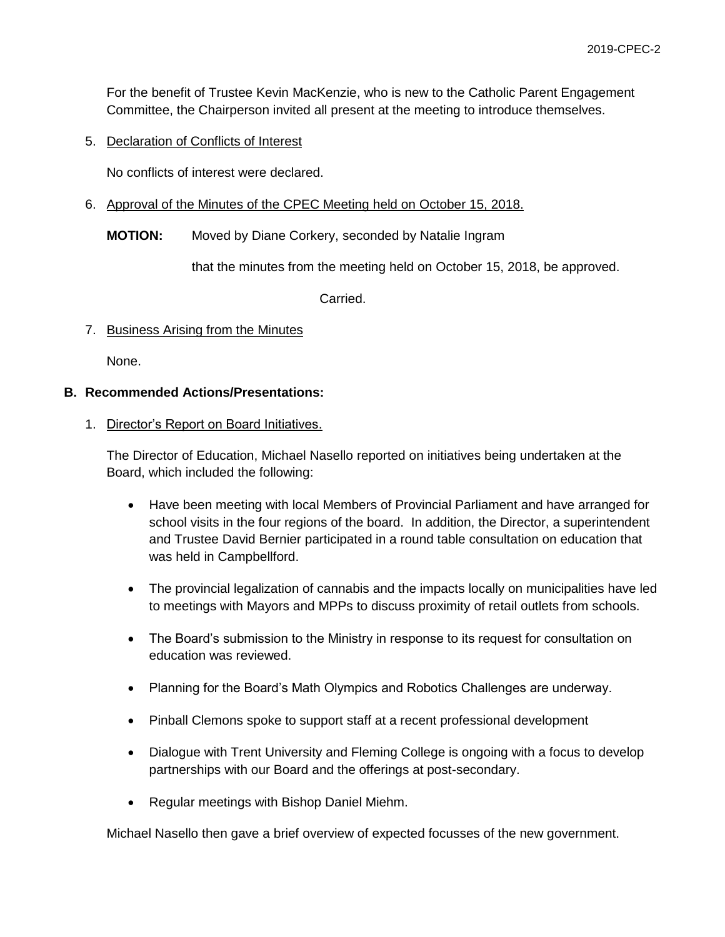For the benefit of Trustee Kevin MacKenzie, who is new to the Catholic Parent Engagement Committee, the Chairperson invited all present at the meeting to introduce themselves.

5. Declaration of Conflicts of Interest

No conflicts of interest were declared.

- 6. Approval of the Minutes of the CPEC Meeting held on October 15, 2018.
	- **MOTION:** Moved by Diane Corkery, seconded by Natalie Ingram

that the minutes from the meeting held on October 15, 2018, be approved.

Carried.

7. Business Arising from the Minutes

None.

# **B. Recommended Actions/Presentations:**

#### 1. Director's Report on Board Initiatives.

The Director of Education, Michael Nasello reported on initiatives being undertaken at the Board, which included the following:

- Have been meeting with local Members of Provincial Parliament and have arranged for school visits in the four regions of the board. In addition, the Director, a superintendent and Trustee David Bernier participated in a round table consultation on education that was held in Campbellford.
- The provincial legalization of cannabis and the impacts locally on municipalities have led to meetings with Mayors and MPPs to discuss proximity of retail outlets from schools.
- The Board's submission to the Ministry in response to its request for consultation on education was reviewed.
- Planning for the Board's Math Olympics and Robotics Challenges are underway.
- Pinball Clemons spoke to support staff at a recent professional development
- Dialogue with Trent University and Fleming College is ongoing with a focus to develop partnerships with our Board and the offerings at post-secondary.
- Regular meetings with Bishop Daniel Miehm.

Michael Nasello then gave a brief overview of expected focusses of the new government.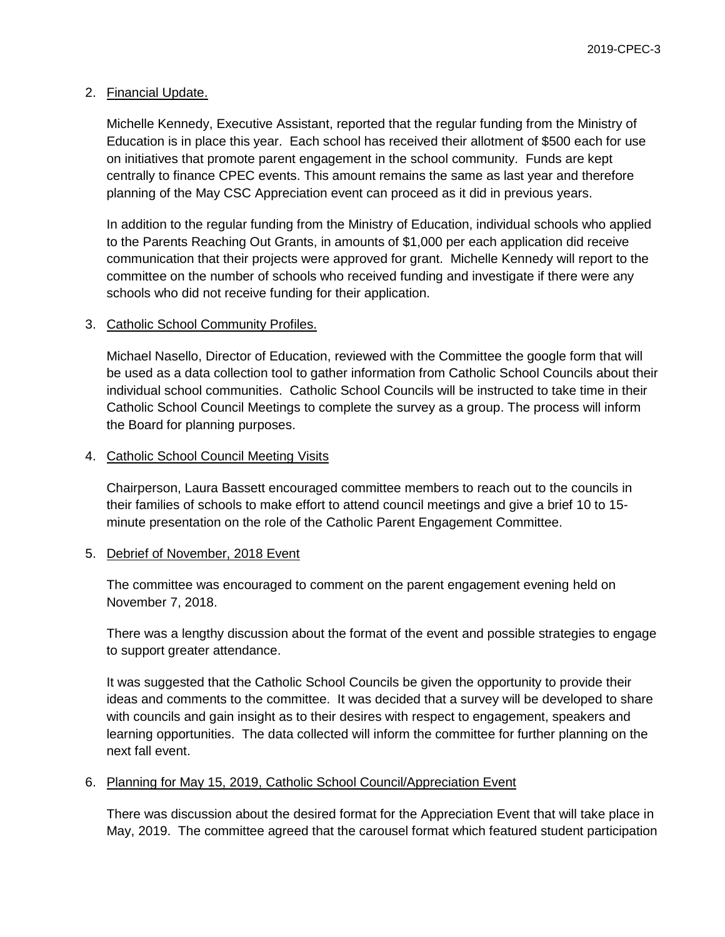#### 2. Financial Update.

Michelle Kennedy, Executive Assistant, reported that the regular funding from the Ministry of Education is in place this year. Each school has received their allotment of \$500 each for use on initiatives that promote parent engagement in the school community. Funds are kept centrally to finance CPEC events. This amount remains the same as last year and therefore planning of the May CSC Appreciation event can proceed as it did in previous years.

In addition to the regular funding from the Ministry of Education, individual schools who applied to the Parents Reaching Out Grants, in amounts of \$1,000 per each application did receive communication that their projects were approved for grant. Michelle Kennedy will report to the committee on the number of schools who received funding and investigate if there were any schools who did not receive funding for their application.

#### 3. Catholic School Community Profiles.

Michael Nasello, Director of Education, reviewed with the Committee the google form that will be used as a data collection tool to gather information from Catholic School Councils about their individual school communities. Catholic School Councils will be instructed to take time in their Catholic School Council Meetings to complete the survey as a group. The process will inform the Board for planning purposes.

#### 4. Catholic School Council Meeting Visits

Chairperson, Laura Bassett encouraged committee members to reach out to the councils in their families of schools to make effort to attend council meetings and give a brief 10 to 15 minute presentation on the role of the Catholic Parent Engagement Committee.

#### 5. Debrief of November, 2018 Event

The committee was encouraged to comment on the parent engagement evening held on November 7, 2018.

There was a lengthy discussion about the format of the event and possible strategies to engage to support greater attendance.

It was suggested that the Catholic School Councils be given the opportunity to provide their ideas and comments to the committee. It was decided that a survey will be developed to share with councils and gain insight as to their desires with respect to engagement, speakers and learning opportunities. The data collected will inform the committee for further planning on the next fall event.

#### 6. Planning for May 15, 2019, Catholic School Council/Appreciation Event

There was discussion about the desired format for the Appreciation Event that will take place in May, 2019. The committee agreed that the carousel format which featured student participation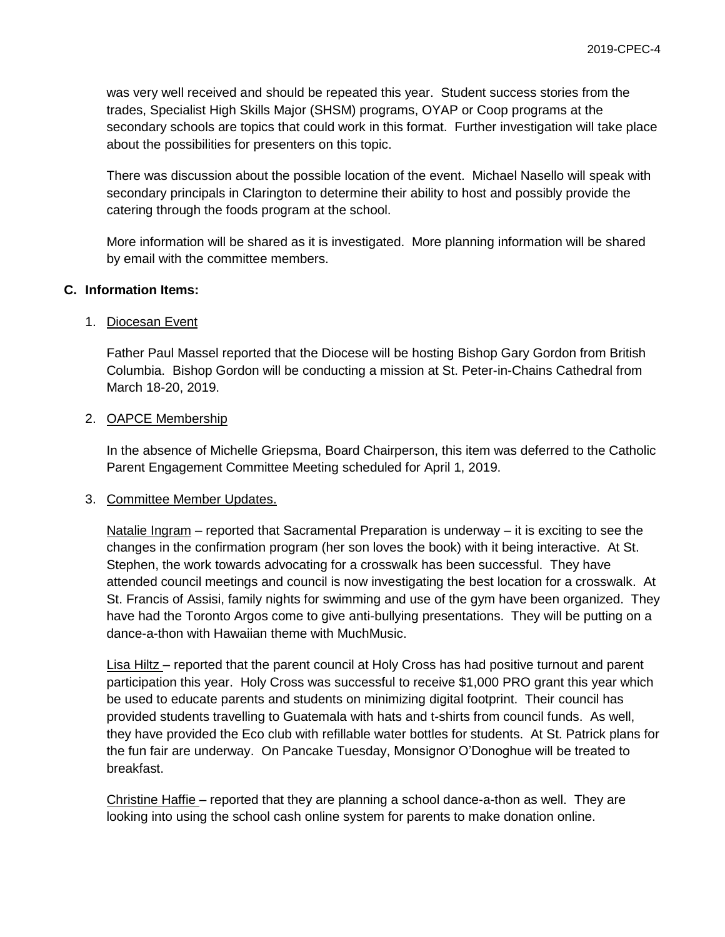was very well received and should be repeated this year. Student success stories from the trades, Specialist High Skills Major (SHSM) programs, OYAP or Coop programs at the secondary schools are topics that could work in this format. Further investigation will take place about the possibilities for presenters on this topic.

There was discussion about the possible location of the event. Michael Nasello will speak with secondary principals in Clarington to determine their ability to host and possibly provide the catering through the foods program at the school.

More information will be shared as it is investigated. More planning information will be shared by email with the committee members.

# **C. Information Items:**

# 1. Diocesan Event

Father Paul Massel reported that the Diocese will be hosting Bishop Gary Gordon from British Columbia. Bishop Gordon will be conducting a mission at St. Peter-in-Chains Cathedral from March 18-20, 2019.

# 2. OAPCE Membership

In the absence of Michelle Griepsma, Board Chairperson, this item was deferred to the Catholic Parent Engagement Committee Meeting scheduled for April 1, 2019.

# 3. Committee Member Updates.

Natalie Ingram – reported that Sacramental Preparation is underway – it is exciting to see the changes in the confirmation program (her son loves the book) with it being interactive. At St. Stephen, the work towards advocating for a crosswalk has been successful. They have attended council meetings and council is now investigating the best location for a crosswalk. At St. Francis of Assisi, family nights for swimming and use of the gym have been organized. They have had the Toronto Argos come to give anti-bullying presentations. They will be putting on a dance-a-thon with Hawaiian theme with MuchMusic.

Lisa Hiltz – reported that the parent council at Holy Cross has had positive turnout and parent participation this year. Holy Cross was successful to receive \$1,000 PRO grant this year which be used to educate parents and students on minimizing digital footprint. Their council has provided students travelling to Guatemala with hats and t-shirts from council funds. As well, they have provided the Eco club with refillable water bottles for students. At St. Patrick plans for the fun fair are underway. On Pancake Tuesday, Monsignor O'Donoghue will be treated to breakfast.

Christine Haffie – reported that they are planning a school dance-a-thon as well. They are looking into using the school cash online system for parents to make donation online.